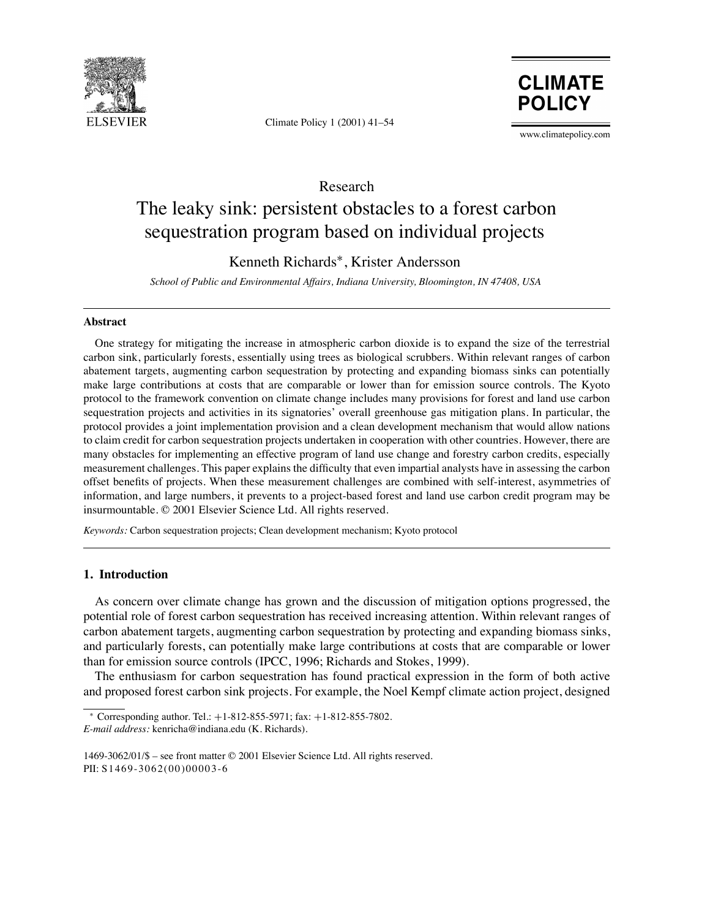

Climate Policy 1 (2001) 41–54



# Research

# The leaky sink: persistent obstacles to a forest carbon sequestration program based on individual projects

# Kenneth Richards∗, Krister Andersson

*School of Public and Environmental Affairs, Indiana University, Bloomington, IN 47408, USA*

#### **Abstract**

One strategy for mitigating the increase in atmospheric carbon dioxide is to expand the size of the terrestrial carbon sink, particularly forests, essentially using trees as biological scrubbers. Within relevant ranges of carbon abatement targets, augmenting carbon sequestration by protecting and expanding biomass sinks can potentially make large contributions at costs that are comparable or lower than for emission source controls. The Kyoto protocol to the framework convention on climate change includes many provisions for forest and land use carbon sequestration projects and activities in its signatories' overall greenhouse gas mitigation plans. In particular, the protocol provides a joint implementation provision and a clean development mechanism that would allow nations to claim credit for carbon sequestration projects undertaken in cooperation with other countries. However, there are many obstacles for implementing an effective program of land use change and forestry carbon credits, especially measurement challenges. This paper explains the difficulty that even impartial analysts have in assessing the carbon offset benefits of projects. When these measurement challenges are combined with self-interest, asymmetries of information, and large numbers, it prevents to a project-based forest and land use carbon credit program may be insurmountable. © 2001 Elsevier Science Ltd. All rights reserved.

*Keywords:* Carbon sequestration projects; Clean development mechanism; Kyoto protocol

# **1. Introduction**

As concern over climate change has grown and the discussion of mitigation options progressed, the potential role of forest carbon sequestration has received increasing attention. Within relevant ranges of carbon abatement targets, augmenting carbon sequestration by protecting and expanding biomass sinks, and particularly forests, can potentially make large contributions at costs that are comparable or lower than for emission source controls (IPCC, 1996; Richards and Stokes, 1999).

The enthusiasm for carbon sequestration has found practical expression in the form of both active and proposed forest carbon sink projects. For example, the Noel Kempf climate action project, designed

<sup>∗</sup> Corresponding author. Tel.: +1-812-855-5971; fax: +1-812-855-7802. *E-mail address:* kenricha@indiana.edu (K. Richards).

<sup>1469-3062/01/\$ –</sup> see front matter © 2001 Elsevier Science Ltd. All rights reserved. PII: S1469-3062(00)00003-6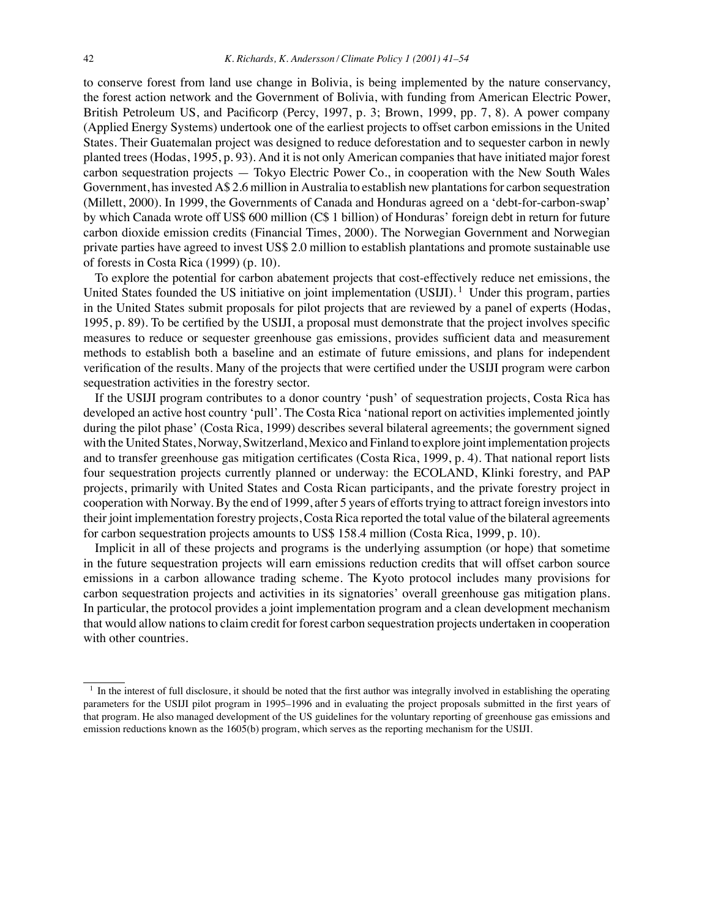to conserve forest from land use change in Bolivia, is being implemented by the nature conservancy, the forest action network and the Government of Bolivia, with funding from American Electric Power, British Petroleum US, and Pacificorp (Percy, 1997, p. 3; Brown, 1999, pp. 7, 8). A power company (Applied Energy Systems) undertook one of the earliest projects to offset carbon emissions in the United States. Their Guatemalan project was designed to reduce deforestation and to sequester carbon in newly planted trees (Hodas, 1995, p. 93). And it is not only American companies that have initiated major forest carbon sequestration projects — Tokyo Electric Power Co., in cooperation with the New South Wales Government, has invested A\$ 2.6 million in Australia to establish new plantations for carbon sequestration (Millett, 2000). In 1999, the Governments of Canada and Honduras agreed on a 'debt-for-carbon-swap' by which Canada wrote off US\$ 600 million (C\$ 1 billion) of Honduras' foreign debt in return for future carbon dioxide emission credits (Financial Times, 2000). The Norwegian Government and Norwegian private parties have agreed to invest US\$ 2.0 million to establish plantations and promote sustainable use of forests in Costa Rica (1999) (p. 10).

To explore the potential for carbon abatement projects that cost-effectively reduce net emissions, the United States founded the US initiative on joint implementation (USIJI).<sup>1</sup> Under this program, parties in the United States submit proposals for pilot projects that are reviewed by a panel of experts (Hodas, 1995, p. 89). To be certified by the USIJI, a proposal must demonstrate that the project involves specific measures to reduce or sequester greenhouse gas emissions, provides sufficient data and measurement methods to establish both a baseline and an estimate of future emissions, and plans for independent verification of the results. Many of the projects that were certified under the USIJI program were carbon sequestration activities in the forestry sector.

If the USIJI program contributes to a donor country 'push' of sequestration projects, Costa Rica has developed an active host country 'pull'. The Costa Rica 'national report on activities implemented jointly during the pilot phase' (Costa Rica, 1999) describes several bilateral agreements; the government signed with the United States, Norway, Switzerland, Mexico and Finland to explore joint implementation projects and to transfer greenhouse gas mitigation certificates (Costa Rica, 1999, p. 4). That national report lists four sequestration projects currently planned or underway: the ECOLAND, Klinki forestry, and PAP projects, primarily with United States and Costa Rican participants, and the private forestry project in cooperation with Norway. By the end of 1999, after 5 years of efforts trying to attract foreign investors into their joint implementation forestry projects, Costa Rica reported the total value of the bilateral agreements for carbon sequestration projects amounts to US\$ 158.4 million (Costa Rica, 1999, p. 10).

Implicit in all of these projects and programs is the underlying assumption (or hope) that sometime in the future sequestration projects will earn emissions reduction credits that will offset carbon source emissions in a carbon allowance trading scheme. The Kyoto protocol includes many provisions for carbon sequestration projects and activities in its signatories' overall greenhouse gas mitigation plans. In particular, the protocol provides a joint implementation program and a clean development mechanism that would allow nations to claim credit for forest carbon sequestration projects undertaken in cooperation with other countries.

 $<sup>1</sup>$  In the interest of full disclosure, it should be noted that the first author was integrally involved in establishing the operating</sup> parameters for the USIJI pilot program in 1995–1996 and in evaluating the project proposals submitted in the first years of that program. He also managed development of the US guidelines for the voluntary reporting of greenhouse gas emissions and emission reductions known as the 1605(b) program, which serves as the reporting mechanism for the USIJI.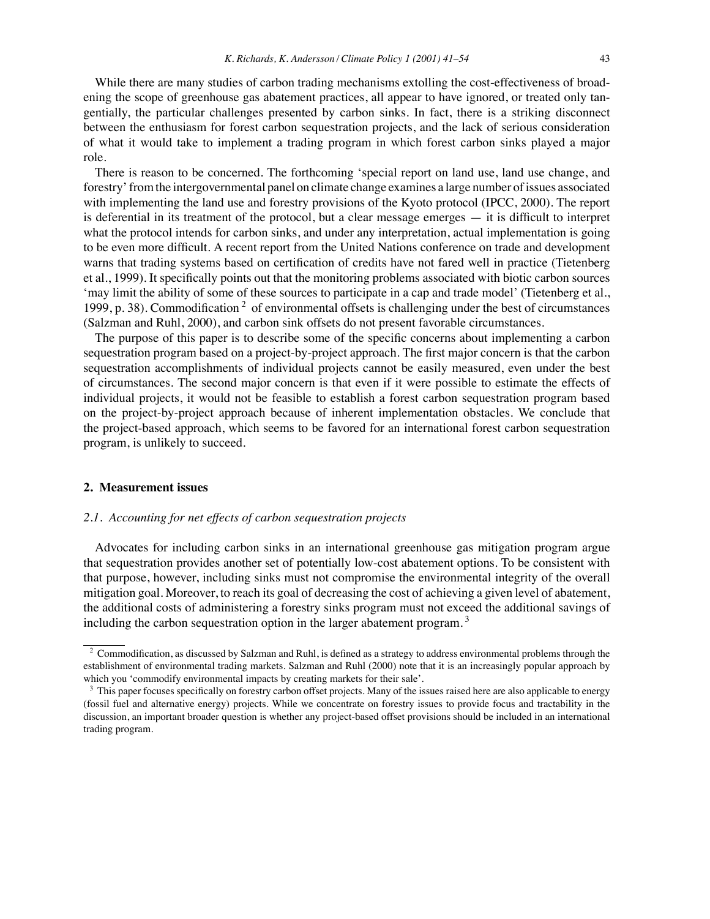While there are many studies of carbon trading mechanisms extolling the cost-effectiveness of broadening the scope of greenhouse gas abatement practices, all appear to have ignored, or treated only tangentially, the particular challenges presented by carbon sinks. In fact, there is a striking disconnect between the enthusiasm for forest carbon sequestration projects, and the lack of serious consideration of what it would take to implement a trading program in which forest carbon sinks played a major role.

There is reason to be concerned. The forthcoming 'special report on land use, land use change, and forestry' from the intergovernmental panel on climate change examines a large number of issues associated with implementing the land use and forestry provisions of the Kyoto protocol (IPCC, 2000). The report is deferential in its treatment of the protocol, but a clear message emerges — it is difficult to interpret what the protocol intends for carbon sinks, and under any interpretation, actual implementation is going to be even more difficult. A recent report from the United Nations conference on trade and development warns that trading systems based on certification of credits have not fared well in practice (Tietenberg et al., 1999). It specifically points out that the monitoring problems associated with biotic carbon sources 'may limit the ability of some of these sources to participate in a cap and trade model' (Tietenberg et al., 1999, p. 38). Commodification  $2\sigma$  of environmental offsets is challenging under the best of circumstances (Salzman and Ruhl, 2000), and carbon sink offsets do not present favorable circumstances.

The purpose of this paper is to describe some of the specific concerns about implementing a carbon sequestration program based on a project-by-project approach. The first major concern is that the carbon sequestration accomplishments of individual projects cannot be easily measured, even under the best of circumstances. The second major concern is that even if it were possible to estimate the effects of individual projects, it would not be feasible to establish a forest carbon sequestration program based on the project-by-project approach because of inherent implementation obstacles. We conclude that the project-based approach, which seems to be favored for an international forest carbon sequestration program, is unlikely to succeed.

#### **2. Measurement issues**

# *2.1. Accounting for net effects of carbon sequestration projects*

Advocates for including carbon sinks in an international greenhouse gas mitigation program argue that sequestration provides another set of potentially low-cost abatement options. To be consistent with that purpose, however, including sinks must not compromise the environmental integrity of the overall mitigation goal. Moreover, to reach its goal of decreasing the cost of achieving a given level of abatement, the additional costs of administering a forestry sinks program must not exceed the additional savings of including the carbon sequestration option in the larger abatement program.<sup>3</sup>

<sup>&</sup>lt;sup>2</sup> Commodification, as discussed by Salzman and Ruhl, is defined as a strategy to address environmental problems through the establishment of environmental trading markets. Salzman and Ruhl (2000) note that it is an increasingly popular approach by which you 'commodify environmental impacts by creating markets for their sale'.

<sup>&</sup>lt;sup>3</sup> This paper focuses specifically on forestry carbon offset projects. Many of the issues raised here are also applicable to energy (fossil fuel and alternative energy) projects. While we concentrate on forestry issues to provide focus and tractability in the discussion, an important broader question is whether any project-based offset provisions should be included in an international trading program.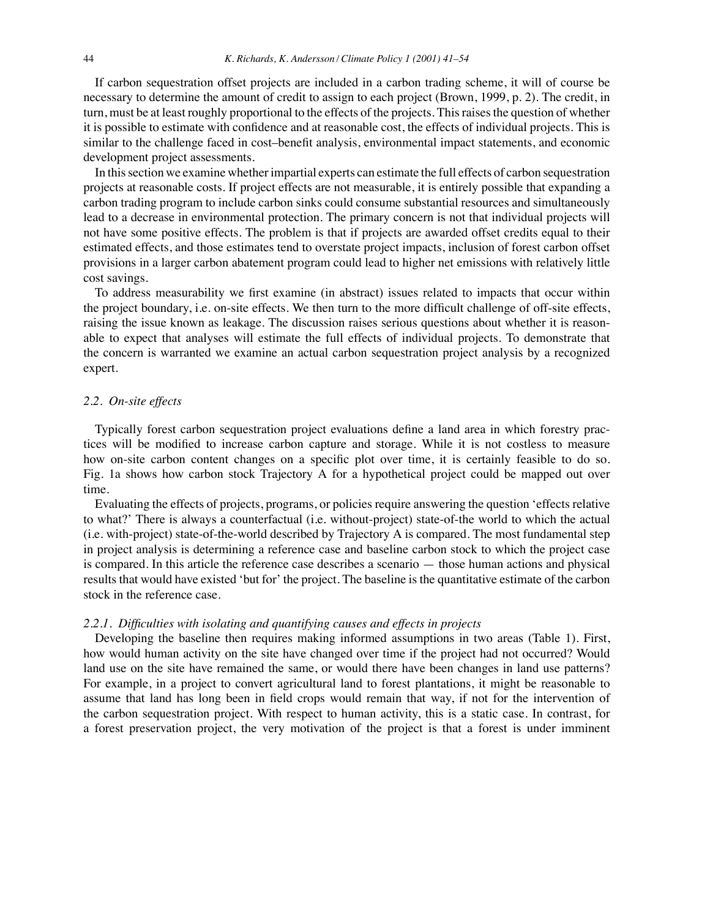If carbon sequestration offset projects are included in a carbon trading scheme, it will of course be necessary to determine the amount of credit to assign to each project (Brown, 1999, p. 2). The credit, in turn, must be at least roughly proportional to the effects of the projects. This raises the question of whether it is possible to estimate with confidence and at reasonable cost, the effects of individual projects. This is similar to the challenge faced in cost–benefit analysis, environmental impact statements, and economic development project assessments.

In this section we examine whether impartial experts can estimate the full effects of carbon sequestration projects at reasonable costs. If project effects are not measurable, it is entirely possible that expanding a carbon trading program to include carbon sinks could consume substantial resources and simultaneously lead to a decrease in environmental protection. The primary concern is not that individual projects will not have some positive effects. The problem is that if projects are awarded offset credits equal to their estimated effects, and those estimates tend to overstate project impacts, inclusion of forest carbon offset provisions in a larger carbon abatement program could lead to higher net emissions with relatively little cost savings.

To address measurability we first examine (in abstract) issues related to impacts that occur within the project boundary, i.e. on-site effects. We then turn to the more difficult challenge of off-site effects, raising the issue known as leakage. The discussion raises serious questions about whether it is reasonable to expect that analyses will estimate the full effects of individual projects. To demonstrate that the concern is warranted we examine an actual carbon sequestration project analysis by a recognized expert.

# *2.2. On-site effects*

Typically forest carbon sequestration project evaluations define a land area in which forestry practices will be modified to increase carbon capture and storage. While it is not costless to measure how on-site carbon content changes on a specific plot over time, it is certainly feasible to do so. Fig. 1a shows how carbon stock Trajectory A for a hypothetical project could be mapped out over time.

Evaluating the effects of projects, programs, or policies require answering the question 'effects relative to what?' There is always a counterfactual (i.e. without-project) state-of-the world to which the actual (i.e. with-project) state-of-the-world described by Trajectory A is compared. The most fundamental step in project analysis is determining a reference case and baseline carbon stock to which the project case is compared. In this article the reference case describes a scenario — those human actions and physical results that would have existed 'but for' the project. The baseline is the quantitative estimate of the carbon stock in the reference case.

# *2.2.1. Difficulties with isolating and quantifying causes and effects in projects*

Developing the baseline then requires making informed assumptions in two areas (Table 1). First, how would human activity on the site have changed over time if the project had not occurred? Would land use on the site have remained the same, or would there have been changes in land use patterns? For example, in a project to convert agricultural land to forest plantations, it might be reasonable to assume that land has long been in field crops would remain that way, if not for the intervention of the carbon sequestration project. With respect to human activity, this is a static case. In contrast, for a forest preservation project, the very motivation of the project is that a forest is under imminent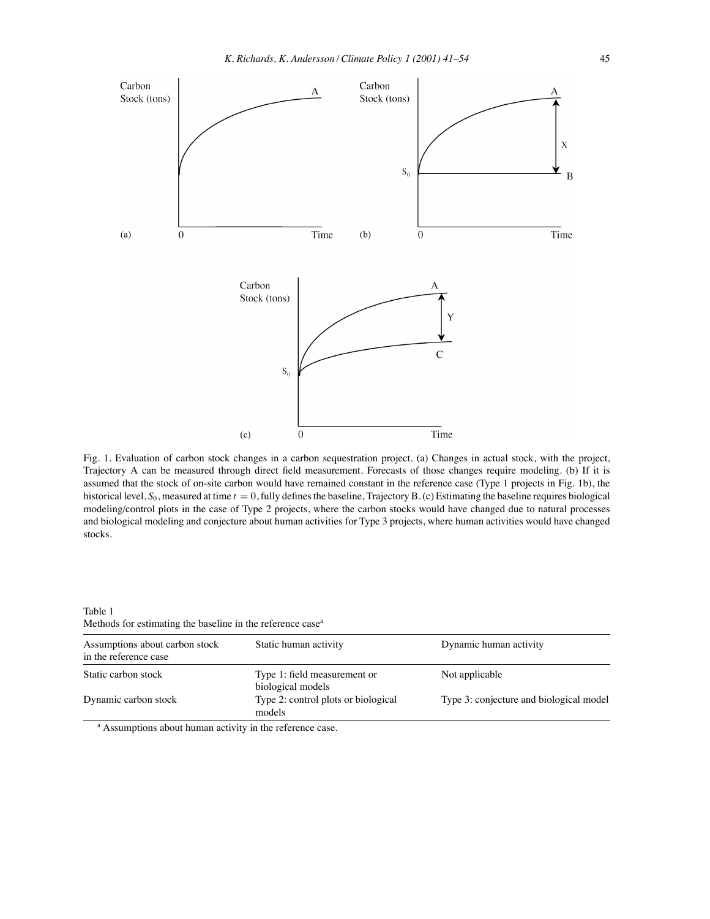

Fig. 1. Evaluation of carbon stock changes in a carbon sequestration project. (a) Changes in actual stock, with the project, Trajectory A can be measured through direct field measurement. Forecasts of those changes require modeling. (b) If it is assumed that the stock of on-site carbon would have remained constant in the reference case (Type 1 projects in Fig. 1b), the historical level,  $S_0$ , measured at time  $t = 0$ , fully defines the baseline, Trajectory B. (c) Estimating the baseline requires biological modeling/control plots in the case of Type 2 projects, where the carbon stocks would have changed due to natural processes and biological modeling and conjecture about human activities for Type 3 projects, where human activities would have changed stocks.

Table 1 Methods for estimating the baseline in the reference case<sup>a</sup>

| methods for community and suscrime in the reference case<br>Assumptions about carbon stock<br>in the reference case | Static human activity                             | Dynamic human activity                  |
|---------------------------------------------------------------------------------------------------------------------|---------------------------------------------------|-----------------------------------------|
| Static carbon stock                                                                                                 | Type 1: field measurement or<br>biological models | Not applicable                          |
| Dynamic carbon stock                                                                                                | Type 2: control plots or biological<br>models     | Type 3: conjecture and biological model |

<sup>a</sup> Assumptions about human activity in the reference case.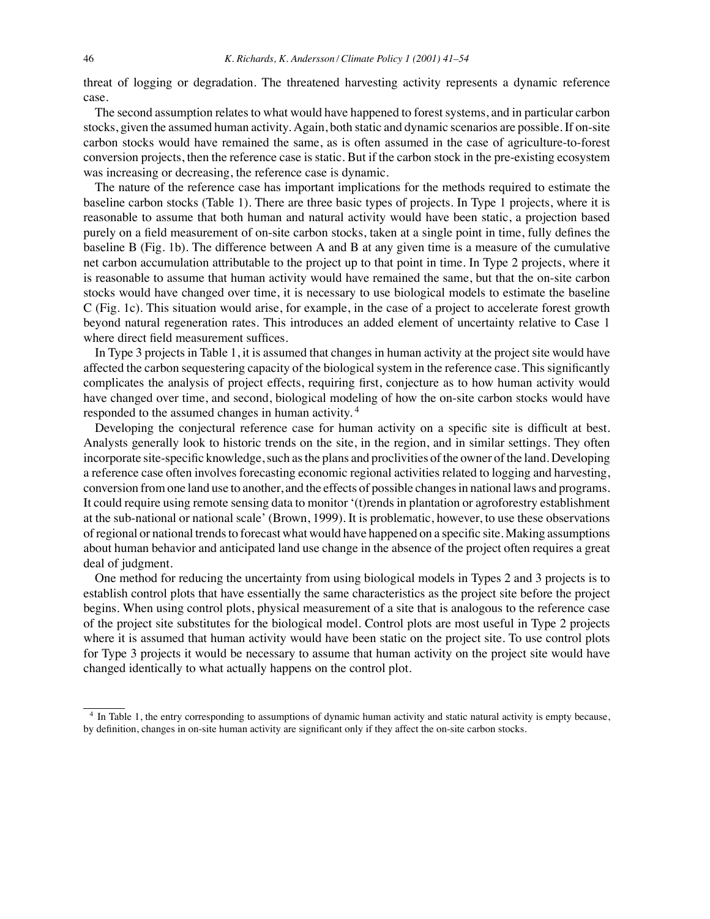threat of logging or degradation. The threatened harvesting activity represents a dynamic reference case.

The second assumption relates to what would have happened to forest systems, and in particular carbon stocks, given the assumed human activity. Again, both static and dynamic scenarios are possible. If on-site carbon stocks would have remained the same, as is often assumed in the case of agriculture-to-forest conversion projects, then the reference case is static. But if the carbon stock in the pre-existing ecosystem was increasing or decreasing, the reference case is dynamic.

The nature of the reference case has important implications for the methods required to estimate the baseline carbon stocks (Table 1). There are three basic types of projects. In Type 1 projects, where it is reasonable to assume that both human and natural activity would have been static, a projection based purely on a field measurement of on-site carbon stocks, taken at a single point in time, fully defines the baseline B (Fig. 1b). The difference between A and B at any given time is a measure of the cumulative net carbon accumulation attributable to the project up to that point in time. In Type 2 projects, where it is reasonable to assume that human activity would have remained the same, but that the on-site carbon stocks would have changed over time, it is necessary to use biological models to estimate the baseline C (Fig. 1c). This situation would arise, for example, in the case of a project to accelerate forest growth beyond natural regeneration rates. This introduces an added element of uncertainty relative to Case 1 where direct field measurement suffices.

In Type 3 projects in Table 1, it is assumed that changes in human activity at the project site would have affected the carbon sequestering capacity of the biological system in the reference case. This significantly complicates the analysis of project effects, requiring first, conjecture as to how human activity would have changed over time, and second, biological modeling of how the on-site carbon stocks would have responded to the assumed changes in human activity. <sup>4</sup>

Developing the conjectural reference case for human activity on a specific site is difficult at best. Analysts generally look to historic trends on the site, in the region, and in similar settings. They often incorporate site-specific knowledge, such as the plans and proclivities of the owner of the land. Developing a reference case often involves forecasting economic regional activities related to logging and harvesting, conversion from one land use to another, and the effects of possible changes in national laws and programs. It could require using remote sensing data to monitor '(t)rends in plantation or agroforestry establishment at the sub-national or national scale' (Brown, 1999). It is problematic, however, to use these observations of regional or national trends to forecast what would have happened on a specific site. Making assumptions about human behavior and anticipated land use change in the absence of the project often requires a great deal of judgment.

One method for reducing the uncertainty from using biological models in Types 2 and 3 projects is to establish control plots that have essentially the same characteristics as the project site before the project begins. When using control plots, physical measurement of a site that is analogous to the reference case of the project site substitutes for the biological model. Control plots are most useful in Type 2 projects where it is assumed that human activity would have been static on the project site. To use control plots for Type 3 projects it would be necessary to assume that human activity on the project site would have changed identically to what actually happens on the control plot.

<sup>&</sup>lt;sup>4</sup> In Table 1, the entry corresponding to assumptions of dynamic human activity and static natural activity is empty because, by definition, changes in on-site human activity are significant only if they affect the on-site carbon stocks.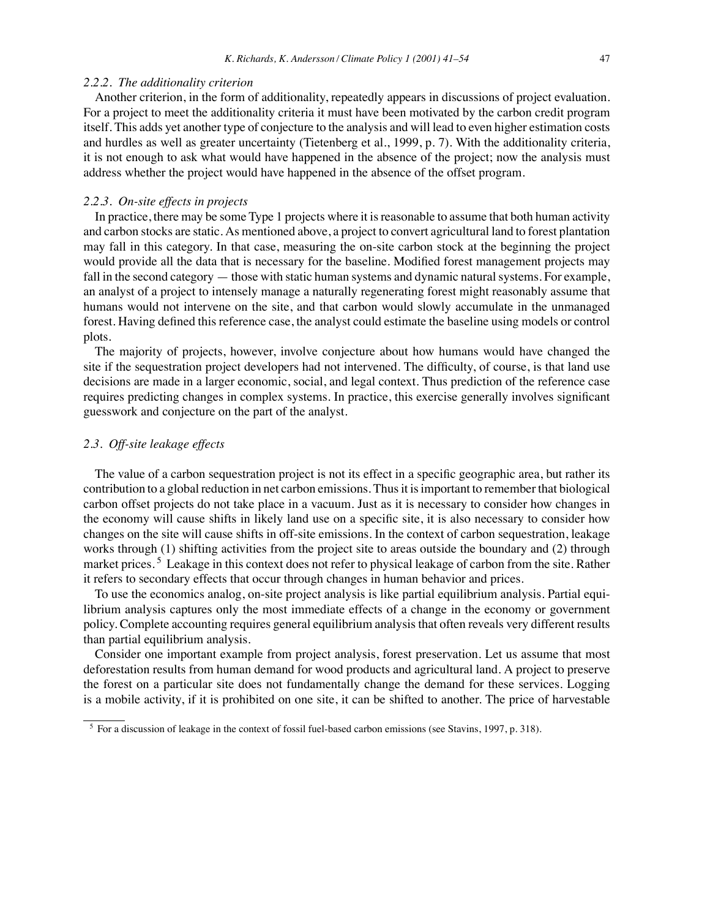# *2.2.2. The additionality criterion*

Another criterion, in the form of additionality, repeatedly appears in discussions of project evaluation. For a project to meet the additionality criteria it must have been motivated by the carbon credit program itself. This adds yet another type of conjecture to the analysis and will lead to even higher estimation costs and hurdles as well as greater uncertainty (Tietenberg et al., 1999, p. 7). With the additionality criteria, it is not enough to ask what would have happened in the absence of the project; now the analysis must address whether the project would have happened in the absence of the offset program.

#### *2.2.3. On-site effects in projects*

In practice, there may be some Type 1 projects where it is reasonable to assume that both human activity and carbon stocks are static. As mentioned above, a project to convert agricultural land to forest plantation may fall in this category. In that case, measuring the on-site carbon stock at the beginning the project would provide all the data that is necessary for the baseline. Modified forest management projects may fall in the second category — those with static human systems and dynamic natural systems. For example, an analyst of a project to intensely manage a naturally regenerating forest might reasonably assume that humans would not intervene on the site, and that carbon would slowly accumulate in the unmanaged forest. Having defined this reference case, the analyst could estimate the baseline using models or control plots.

The majority of projects, however, involve conjecture about how humans would have changed the site if the sequestration project developers had not intervened. The difficulty, of course, is that land use decisions are made in a larger economic, social, and legal context. Thus prediction of the reference case requires predicting changes in complex systems. In practice, this exercise generally involves significant guesswork and conjecture on the part of the analyst.

# *2.3. Off-site leakage effects*

The value of a carbon sequestration project is not its effect in a specific geographic area, but rather its contribution to a global reduction in net carbon emissions. Thus it is important to remember that biological carbon offset projects do not take place in a vacuum. Just as it is necessary to consider how changes in the economy will cause shifts in likely land use on a specific site, it is also necessary to consider how changes on the site will cause shifts in off-site emissions. In the context of carbon sequestration, leakage works through (1) shifting activities from the project site to areas outside the boundary and (2) through market prices.<sup>5</sup> Leakage in this context does not refer to physical leakage of carbon from the site. Rather it refers to secondary effects that occur through changes in human behavior and prices.

To use the economics analog, on-site project analysis is like partial equilibrium analysis. Partial equilibrium analysis captures only the most immediate effects of a change in the economy or government policy. Complete accounting requires general equilibrium analysis that often reveals very different results than partial equilibrium analysis.

Consider one important example from project analysis, forest preservation. Let us assume that most deforestation results from human demand for wood products and agricultural land. A project to preserve the forest on a particular site does not fundamentally change the demand for these services. Logging is a mobile activity, if it is prohibited on one site, it can be shifted to another. The price of harvestable

 $5$  For a discussion of leakage in the context of fossil fuel-based carbon emissions (see Stavins, 1997, p. 318).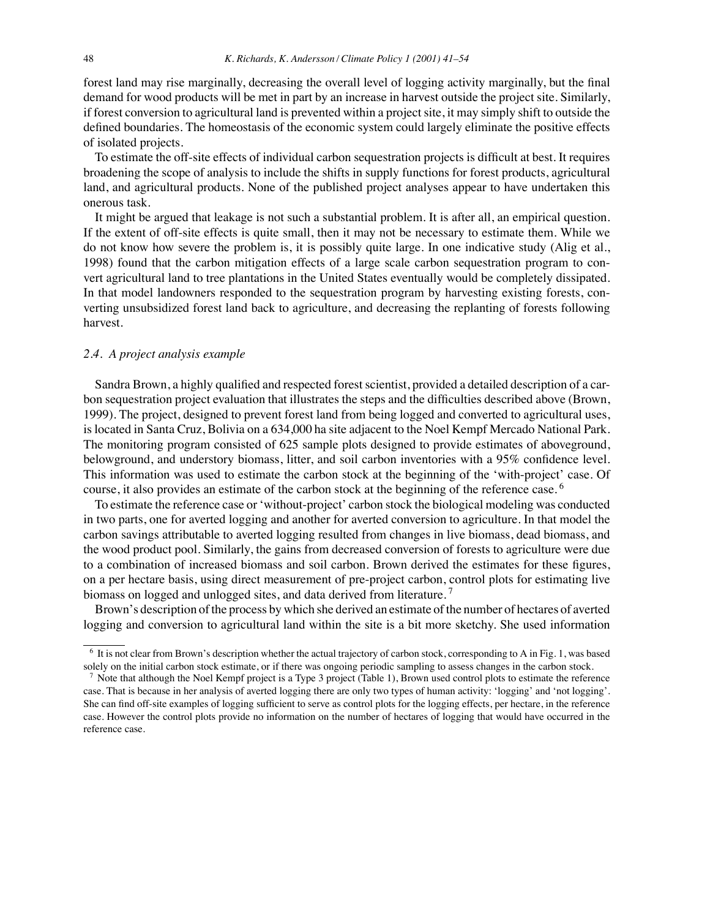forest land may rise marginally, decreasing the overall level of logging activity marginally, but the final demand for wood products will be met in part by an increase in harvest outside the project site. Similarly, if forest conversion to agricultural land is prevented within a project site, it may simply shift to outside the defined boundaries. The homeostasis of the economic system could largely eliminate the positive effects of isolated projects.

To estimate the off-site effects of individual carbon sequestration projects is difficult at best. It requires broadening the scope of analysis to include the shifts in supply functions for forest products, agricultural land, and agricultural products. None of the published project analyses appear to have undertaken this onerous task.

It might be argued that leakage is not such a substantial problem. It is after all, an empirical question. If the extent of off-site effects is quite small, then it may not be necessary to estimate them. While we do not know how severe the problem is, it is possibly quite large. In one indicative study (Alig et al., 1998) found that the carbon mitigation effects of a large scale carbon sequestration program to convert agricultural land to tree plantations in the United States eventually would be completely dissipated. In that model landowners responded to the sequestration program by harvesting existing forests, converting unsubsidized forest land back to agriculture, and decreasing the replanting of forests following harvest.

#### *2.4. A project analysis example*

Sandra Brown, a highly qualified and respected forest scientist, provided a detailed description of a carbon sequestration project evaluation that illustrates the steps and the difficulties described above (Brown, 1999). The project, designed to prevent forest land from being logged and converted to agricultural uses, is located in Santa Cruz, Bolivia on a 634,000 ha site adjacent to the Noel Kempf Mercado National Park. The monitoring program consisted of 625 sample plots designed to provide estimates of aboveground, belowground, and understory biomass, litter, and soil carbon inventories with a 95% confidence level. This information was used to estimate the carbon stock at the beginning of the 'with-project' case. Of course, it also provides an estimate of the carbon stock at the beginning of the reference case. <sup>6</sup>

To estimate the reference case or 'without-project' carbon stock the biological modeling was conducted in two parts, one for averted logging and another for averted conversion to agriculture. In that model the carbon savings attributable to averted logging resulted from changes in live biomass, dead biomass, and the wood product pool. Similarly, the gains from decreased conversion of forests to agriculture were due to a combination of increased biomass and soil carbon. Brown derived the estimates for these figures, on a per hectare basis, using direct measurement of pre-project carbon, control plots for estimating live biomass on logged and unlogged sites, and data derived from literature.<sup>7</sup>

Brown's description of the process by which she derived an estimate of the number of hectares of averted logging and conversion to agricultural land within the site is a bit more sketchy. She used information

<sup>6</sup> It is not clear from Brown's description whether the actual trajectory of carbon stock, corresponding to A in Fig. 1, was based solely on the initial carbon stock estimate, or if there was ongoing periodic sampling to assess changes in the carbon stock.

<sup>7</sup> Note that although the Noel Kempf project is a Type 3 project (Table 1), Brown used control plots to estimate the reference case. That is because in her analysis of averted logging there are only two types of human activity: 'logging' and 'not logging'. She can find off-site examples of logging sufficient to serve as control plots for the logging effects, per hectare, in the reference case. However the control plots provide no information on the number of hectares of logging that would have occurred in the reference case.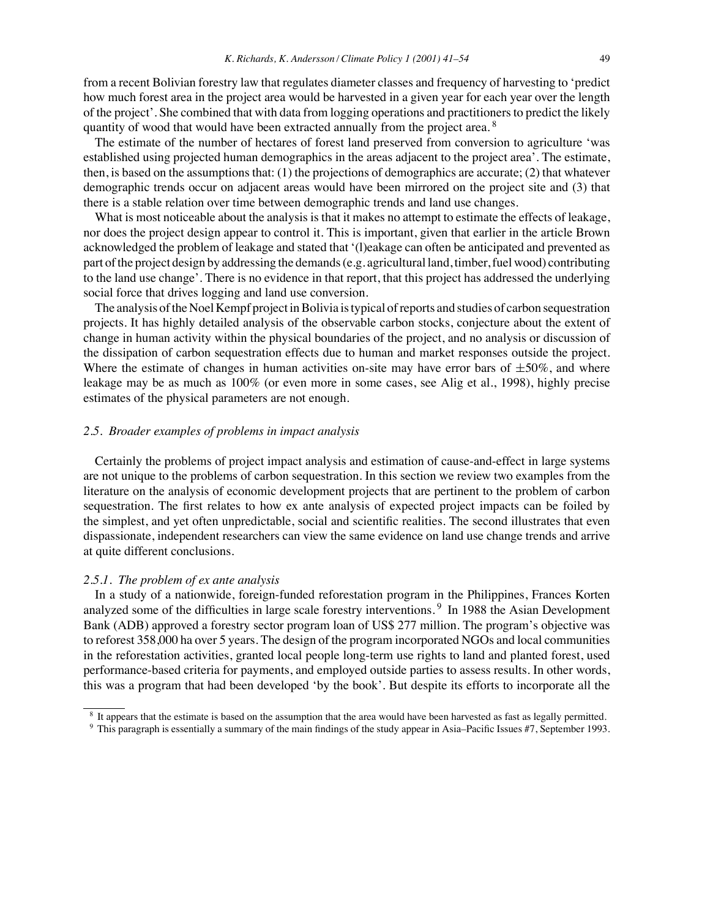from a recent Bolivian forestry law that regulates diameter classes and frequency of harvesting to 'predict how much forest area in the project area would be harvested in a given year for each year over the length of the project'. She combined that with data from logging operations and practitioners to predict the likely quantity of wood that would have been extracted annually from the project area.<sup>8</sup>

The estimate of the number of hectares of forest land preserved from conversion to agriculture 'was established using projected human demographics in the areas adjacent to the project area'. The estimate, then, is based on the assumptions that: (1) the projections of demographics are accurate; (2) that whatever demographic trends occur on adjacent areas would have been mirrored on the project site and (3) that there is a stable relation over time between demographic trends and land use changes.

What is most noticeable about the analysis is that it makes no attempt to estimate the effects of leakage, nor does the project design appear to control it. This is important, given that earlier in the article Brown acknowledged the problem of leakage and stated that '(l)eakage can often be anticipated and prevented as part of the project design by addressing the demands (e.g. agricultural land, timber, fuel wood) contributing to the land use change'. There is no evidence in that report, that this project has addressed the underlying social force that drives logging and land use conversion.

The analysis of the Noel Kempf project in Bolivia is typical of reports and studies of carbon sequestration projects. It has highly detailed analysis of the observable carbon stocks, conjecture about the extent of change in human activity within the physical boundaries of the project, and no analysis or discussion of the dissipation of carbon sequestration effects due to human and market responses outside the project. Where the estimate of changes in human activities on-site may have error bars of  $\pm 50\%$ , and where leakage may be as much as 100% (or even more in some cases, see Alig et al., 1998), highly precise estimates of the physical parameters are not enough.

#### *2.5. Broader examples of problems in impact analysis*

Certainly the problems of project impact analysis and estimation of cause-and-effect in large systems are not unique to the problems of carbon sequestration. In this section we review two examples from the literature on the analysis of economic development projects that are pertinent to the problem of carbon sequestration. The first relates to how ex ante analysis of expected project impacts can be foiled by the simplest, and yet often unpredictable, social and scientific realities. The second illustrates that even dispassionate, independent researchers can view the same evidence on land use change trends and arrive at quite different conclusions.

#### *2.5.1. The problem of ex ante analysis*

In a study of a nationwide, foreign-funded reforestation program in the Philippines, Frances Korten analyzed some of the difficulties in large scale forestry interventions. <sup>9</sup> In 1988 the Asian Development Bank (ADB) approved a forestry sector program loan of US\$ 277 million. The program's objective was to reforest 358,000 ha over 5 years. The design of the program incorporated NGOs and local communities in the reforestation activities, granted local people long-term use rights to land and planted forest, used performance-based criteria for payments, and employed outside parties to assess results. In other words, this was a program that had been developed 'by the book'. But despite its efforts to incorporate all the

<sup>8</sup> It appears that the estimate is based on the assumption that the area would have been harvested as fast as legally permitted.

<sup>&</sup>lt;sup>9</sup> This paragraph is essentially a summary of the main findings of the study appear in Asia–Pacific Issues #7, September 1993.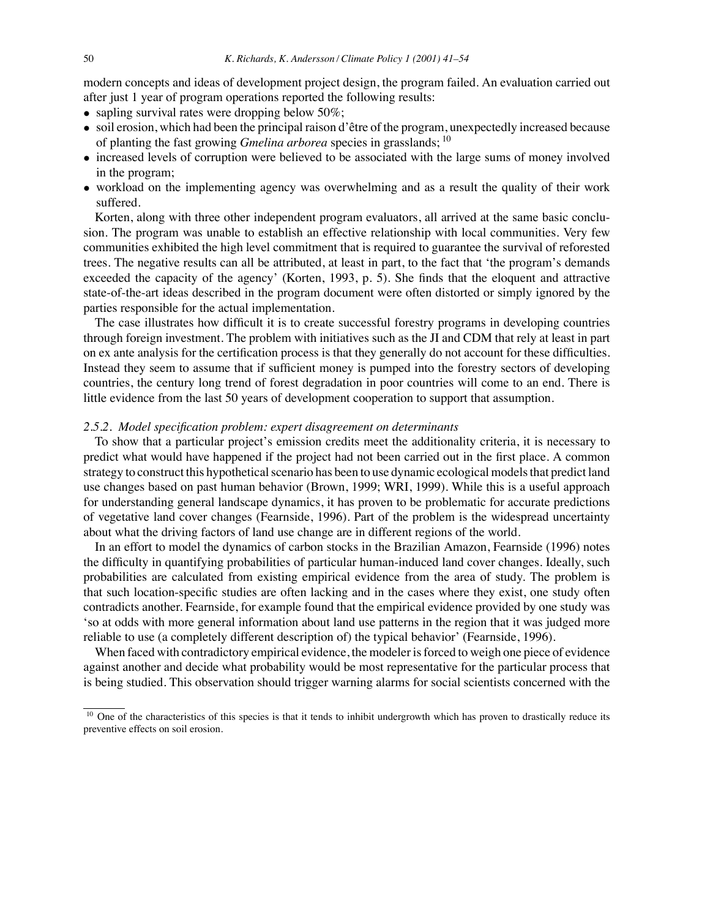modern concepts and ideas of development project design, the program failed. An evaluation carried out after just 1 year of program operations reported the following results:

- sapling survival rates were dropping below  $50\%$ ;
- soil erosion, which had been the principal raison d'être of the program, unexpectedly increased because of planting the fast growing *Gmelina arborea* species in grasslands; <sup>10</sup>
- increased levels of corruption were believed to be associated with the large sums of money involved in the program;
- workload on the implementing agency was overwhelming and as a result the quality of their work suffered.

Korten, along with three other independent program evaluators, all arrived at the same basic conclusion. The program was unable to establish an effective relationship with local communities. Very few communities exhibited the high level commitment that is required to guarantee the survival of reforested trees. The negative results can all be attributed, at least in part, to the fact that 'the program's demands exceeded the capacity of the agency' (Korten, 1993, p. 5). She finds that the eloquent and attractive state-of-the-art ideas described in the program document were often distorted or simply ignored by the parties responsible for the actual implementation.

The case illustrates how difficult it is to create successful forestry programs in developing countries through foreign investment. The problem with initiatives such as the JI and CDM that rely at least in part on ex ante analysis for the certification process is that they generally do not account for these difficulties. Instead they seem to assume that if sufficient money is pumped into the forestry sectors of developing countries, the century long trend of forest degradation in poor countries will come to an end. There is little evidence from the last 50 years of development cooperation to support that assumption.

#### *2.5.2. Model specification problem: expert disagreement on determinants*

To show that a particular project's emission credits meet the additionality criteria, it is necessary to predict what would have happened if the project had not been carried out in the first place. A common strategy to construct this hypothetical scenario has been to use dynamic ecological models that predict land use changes based on past human behavior (Brown, 1999; WRI, 1999). While this is a useful approach for understanding general landscape dynamics, it has proven to be problematic for accurate predictions of vegetative land cover changes (Fearnside, 1996). Part of the problem is the widespread uncertainty about what the driving factors of land use change are in different regions of the world.

In an effort to model the dynamics of carbon stocks in the Brazilian Amazon, Fearnside (1996) notes the difficulty in quantifying probabilities of particular human-induced land cover changes. Ideally, such probabilities are calculated from existing empirical evidence from the area of study. The problem is that such location-specific studies are often lacking and in the cases where they exist, one study often contradicts another. Fearnside, for example found that the empirical evidence provided by one study was 'so at odds with more general information about land use patterns in the region that it was judged more reliable to use (a completely different description of) the typical behavior' (Fearnside, 1996).

When faced with contradictory empirical evidence, the modeler is forced to weigh one piece of evidence against another and decide what probability would be most representative for the particular process that is being studied. This observation should trigger warning alarms for social scientists concerned with the

<sup>&</sup>lt;sup>10</sup> One of the characteristics of this species is that it tends to inhibit undergrowth which has proven to drastically reduce its preventive effects on soil erosion.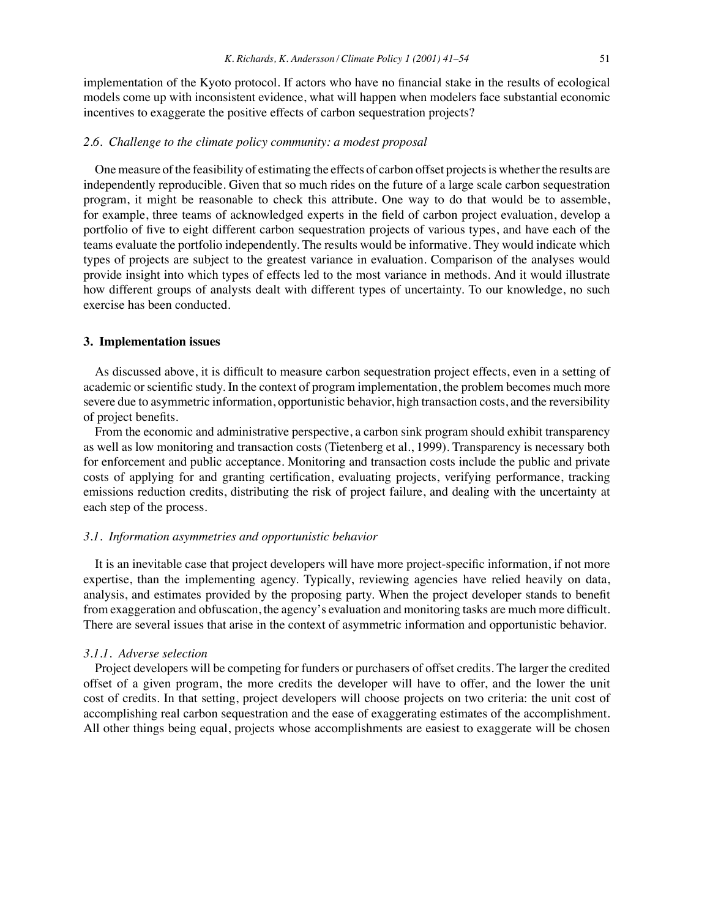implementation of the Kyoto protocol. If actors who have no financial stake in the results of ecological models come up with inconsistent evidence, what will happen when modelers face substantial economic incentives to exaggerate the positive effects of carbon sequestration projects?

# *2.6. Challenge to the climate policy community: a modest proposal*

One measure of the feasibility of estimating the effects of carbon offset projects is whether the results are independently reproducible. Given that so much rides on the future of a large scale carbon sequestration program, it might be reasonable to check this attribute. One way to do that would be to assemble, for example, three teams of acknowledged experts in the field of carbon project evaluation, develop a portfolio of five to eight different carbon sequestration projects of various types, and have each of the teams evaluate the portfolio independently. The results would be informative. They would indicate which types of projects are subject to the greatest variance in evaluation. Comparison of the analyses would provide insight into which types of effects led to the most variance in methods. And it would illustrate how different groups of analysts dealt with different types of uncertainty. To our knowledge, no such exercise has been conducted.

#### **3. Implementation issues**

As discussed above, it is difficult to measure carbon sequestration project effects, even in a setting of academic or scientific study. In the context of program implementation, the problem becomes much more severe due to asymmetric information, opportunistic behavior, high transaction costs, and the reversibility of project benefits.

From the economic and administrative perspective, a carbon sink program should exhibit transparency as well as low monitoring and transaction costs (Tietenberg et al., 1999). Transparency is necessary both for enforcement and public acceptance. Monitoring and transaction costs include the public and private costs of applying for and granting certification, evaluating projects, verifying performance, tracking emissions reduction credits, distributing the risk of project failure, and dealing with the uncertainty at each step of the process.

# *3.1. Information asymmetries and opportunistic behavior*

It is an inevitable case that project developers will have more project-specific information, if not more expertise, than the implementing agency. Typically, reviewing agencies have relied heavily on data, analysis, and estimates provided by the proposing party. When the project developer stands to benefit from exaggeration and obfuscation, the agency's evaluation and monitoring tasks are much more difficult. There are several issues that arise in the context of asymmetric information and opportunistic behavior.

# *3.1.1. Adverse selection*

Project developers will be competing for funders or purchasers of offset credits. The larger the credited offset of a given program, the more credits the developer will have to offer, and the lower the unit cost of credits. In that setting, project developers will choose projects on two criteria: the unit cost of accomplishing real carbon sequestration and the ease of exaggerating estimates of the accomplishment. All other things being equal, projects whose accomplishments are easiest to exaggerate will be chosen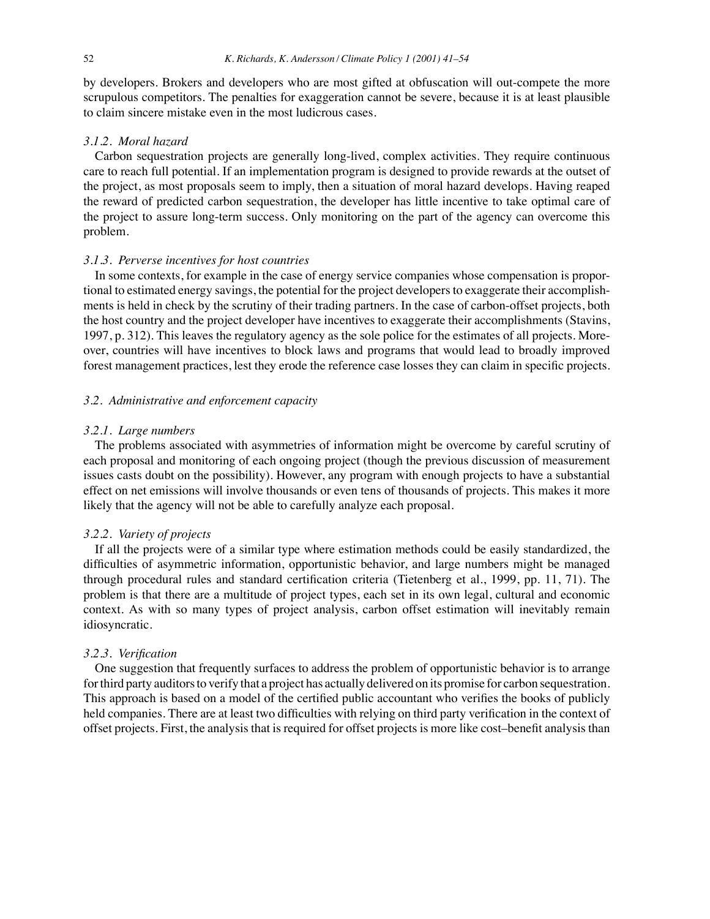by developers. Brokers and developers who are most gifted at obfuscation will out-compete the more scrupulous competitors. The penalties for exaggeration cannot be severe, because it is at least plausible to claim sincere mistake even in the most ludicrous cases.

#### *3.1.2. Moral hazard*

Carbon sequestration projects are generally long-lived, complex activities. They require continuous care to reach full potential. If an implementation program is designed to provide rewards at the outset of the project, as most proposals seem to imply, then a situation of moral hazard develops. Having reaped the reward of predicted carbon sequestration, the developer has little incentive to take optimal care of the project to assure long-term success. Only monitoring on the part of the agency can overcome this problem.

# *3.1.3. Perverse incentives for host countries*

In some contexts, for example in the case of energy service companies whose compensation is proportional to estimated energy savings, the potential for the project developers to exaggerate their accomplishments is held in check by the scrutiny of their trading partners. In the case of carbon-offset projects, both the host country and the project developer have incentives to exaggerate their accomplishments (Stavins, 1997, p. 312). This leaves the regulatory agency as the sole police for the estimates of all projects. Moreover, countries will have incentives to block laws and programs that would lead to broadly improved forest management practices, lest they erode the reference case losses they can claim in specific projects.

# *3.2. Administrative and enforcement capacity*

#### *3.2.1. Large numbers*

The problems associated with asymmetries of information might be overcome by careful scrutiny of each proposal and monitoring of each ongoing project (though the previous discussion of measurement issues casts doubt on the possibility). However, any program with enough projects to have a substantial effect on net emissions will involve thousands or even tens of thousands of projects. This makes it more likely that the agency will not be able to carefully analyze each proposal.

#### *3.2.2. Variety of projects*

If all the projects were of a similar type where estimation methods could be easily standardized, the difficulties of asymmetric information, opportunistic behavior, and large numbers might be managed through procedural rules and standard certification criteria (Tietenberg et al., 1999, pp. 11, 71). The problem is that there are a multitude of project types, each set in its own legal, cultural and economic context. As with so many types of project analysis, carbon offset estimation will inevitably remain idiosyncratic.

#### *3.2.3. Verification*

One suggestion that frequently surfaces to address the problem of opportunistic behavior is to arrange for third party auditors to verify that a project has actually delivered on its promise for carbon sequestration. This approach is based on a model of the certified public accountant who verifies the books of publicly held companies. There are at least two difficulties with relying on third party verification in the context of offset projects. First, the analysis that is required for offset projects is more like cost–benefit analysis than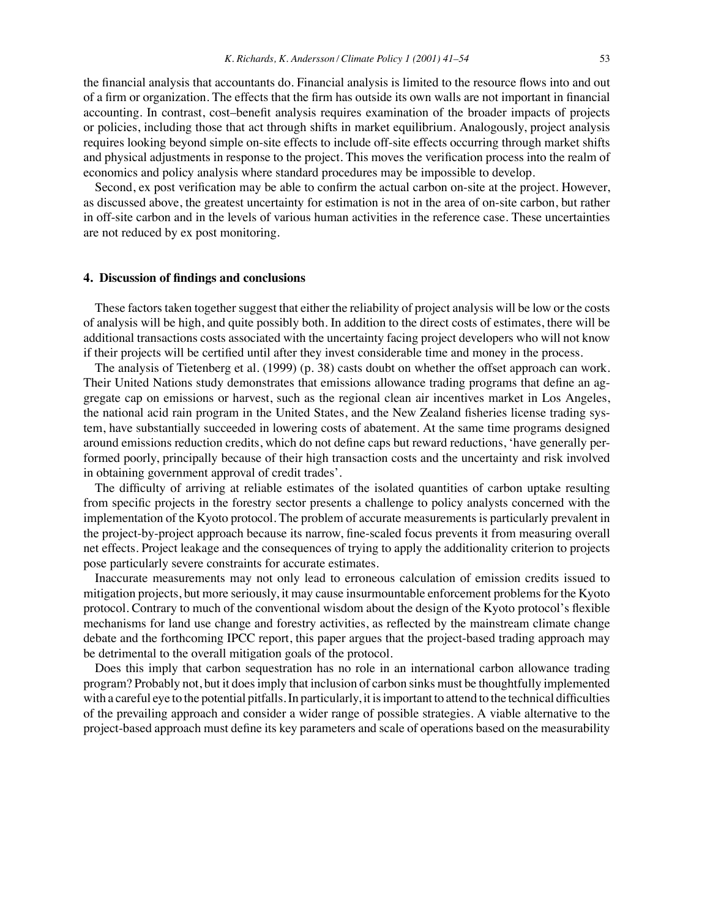the financial analysis that accountants do. Financial analysis is limited to the resource flows into and out of a firm or organization. The effects that the firm has outside its own walls are not important in financial accounting. In contrast, cost–benefit analysis requires examination of the broader impacts of projects or policies, including those that act through shifts in market equilibrium. Analogously, project analysis requires looking beyond simple on-site effects to include off-site effects occurring through market shifts and physical adjustments in response to the project. This moves the verification process into the realm of economics and policy analysis where standard procedures may be impossible to develop.

Second, ex post verification may be able to confirm the actual carbon on-site at the project. However, as discussed above, the greatest uncertainty for estimation is not in the area of on-site carbon, but rather in off-site carbon and in the levels of various human activities in the reference case. These uncertainties are not reduced by ex post monitoring.

#### **4. Discussion of findings and conclusions**

These factors taken together suggest that either the reliability of project analysis will be low or the costs of analysis will be high, and quite possibly both. In addition to the direct costs of estimates, there will be additional transactions costs associated with the uncertainty facing project developers who will not know if their projects will be certified until after they invest considerable time and money in the process.

The analysis of Tietenberg et al. (1999) (p. 38) casts doubt on whether the offset approach can work. Their United Nations study demonstrates that emissions allowance trading programs that define an aggregate cap on emissions or harvest, such as the regional clean air incentives market in Los Angeles, the national acid rain program in the United States, and the New Zealand fisheries license trading system, have substantially succeeded in lowering costs of abatement. At the same time programs designed around emissions reduction credits, which do not define caps but reward reductions, 'have generally performed poorly, principally because of their high transaction costs and the uncertainty and risk involved in obtaining government approval of credit trades'.

The difficulty of arriving at reliable estimates of the isolated quantities of carbon uptake resulting from specific projects in the forestry sector presents a challenge to policy analysts concerned with the implementation of the Kyoto protocol. The problem of accurate measurements is particularly prevalent in the project-by-project approach because its narrow, fine-scaled focus prevents it from measuring overall net effects. Project leakage and the consequences of trying to apply the additionality criterion to projects pose particularly severe constraints for accurate estimates.

Inaccurate measurements may not only lead to erroneous calculation of emission credits issued to mitigation projects, but more seriously, it may cause insurmountable enforcement problems for the Kyoto protocol. Contrary to much of the conventional wisdom about the design of the Kyoto protocol's flexible mechanisms for land use change and forestry activities, as reflected by the mainstream climate change debate and the forthcoming IPCC report, this paper argues that the project-based trading approach may be detrimental to the overall mitigation goals of the protocol.

Does this imply that carbon sequestration has no role in an international carbon allowance trading program? Probably not, but it does imply that inclusion of carbon sinks must be thoughtfully implemented with a careful eye to the potential pitfalls. In particularly, it is important to attend to the technical difficulties of the prevailing approach and consider a wider range of possible strategies. A viable alternative to the project-based approach must define its key parameters and scale of operations based on the measurability